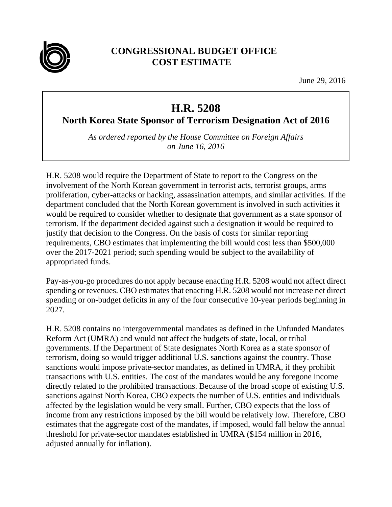

## **CONGRESSIONAL BUDGET OFFICE COST ESTIMATE**

June 29, 2016

## **H.R. 5208**

**North Korea State Sponsor of Terrorism Designation Act of 2016**

*As ordered reported by the House Committee on Foreign Affairs on June 16, 2016* 

H.R. 5208 would require the Department of State to report to the Congress on the involvement of the North Korean government in terrorist acts, terrorist groups, arms proliferation, cyber-attacks or hacking, assassination attempts, and similar activities. If the department concluded that the North Korean government is involved in such activities it would be required to consider whether to designate that government as a state sponsor of terrorism. If the department decided against such a designation it would be required to justify that decision to the Congress. On the basis of costs for similar reporting requirements, CBO estimates that implementing the bill would cost less than \$500,000 over the 2017-2021 period; such spending would be subject to the availability of appropriated funds.

Pay-as-you-go procedures do not apply because enacting H.R. 5208 would not affect direct spending or revenues. CBO estimates that enacting H.R. 5208 would not increase net direct spending or on-budget deficits in any of the four consecutive 10-year periods beginning in 2027.

H.R. 5208 contains no intergovernmental mandates as defined in the Unfunded Mandates Reform Act (UMRA) and would not affect the budgets of state, local, or tribal governments. If the Department of State designates North Korea as a state sponsor of terrorism, doing so would trigger additional U.S. sanctions against the country. Those sanctions would impose private-sector mandates, as defined in UMRA, if they prohibit transactions with U.S. entities. The cost of the mandates would be any foregone income directly related to the prohibited transactions. Because of the broad scope of existing U.S. sanctions against North Korea, CBO expects the number of U.S. entities and individuals affected by the legislation would be very small. Further, CBO expects that the loss of income from any restrictions imposed by the bill would be relatively low. Therefore, CBO estimates that the aggregate cost of the mandates, if imposed, would fall below the annual threshold for private-sector mandates established in UMRA (\$154 million in 2016, adjusted annually for inflation).